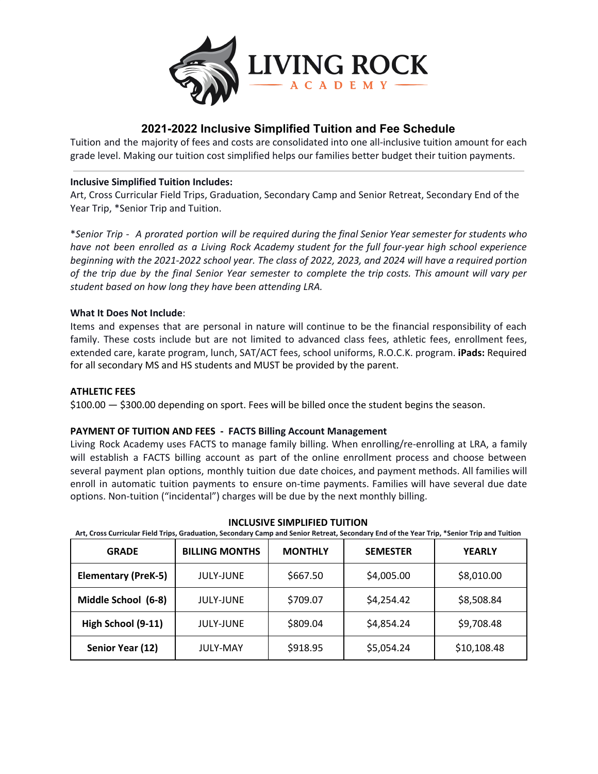

# **2021-2022 Inclusive Simplified Tuition and Fee Schedule**

Tuition and the majority of fees and costs are consolidated into one all-inclusive tuition amount for each grade level. Making our tuition cost simplified helps our families better budget their tuition payments.

# **Inclusive Simplified Tuition Includes:**

Art, Cross Curricular Field Trips, Graduation, Secondary Camp and Senior Retreat, Secondary End of the Year Trip, \*Senior Trip and Tuition.

\*Senior Trip - A prorated portion will be required during the final Senior Year semester for students who *have not been enrolled as a Living Rock Academy student for the full four-year high school experience* beginning with the 2021-2022 school year. The class of 2022, 2023, and 2024 will have a required portion of the trip due by the final Senior Year semester to complete the trip costs. This amount will vary per *student based on how long they have been attending LRA.*

# **What It Does Not Include**:

Items and expenses that are personal in nature will continue to be the financial responsibility of each family. These costs include but are not limited to advanced class fees, athletic fees, enrollment fees, extended care, karate program, lunch, SAT/ACT fees, school uniforms, R.O.C.K. program. **iPads:** Required for all secondary MS and HS students and MUST be provided by the parent.

# **ATHLETIC FEES**

\$100.00 — \$300.00 depending on sport. Fees will be billed once the student begins the season.

## **PAYMENT OF TUITION AND FEES - FACTS Billing Account Management**

Living Rock Academy uses FACTS to manage family billing. When enrolling/re-enrolling at LRA, a family will establish a FACTS billing account as part of the online enrollment process and choose between several payment plan options, monthly tuition due date choices, and payment methods. All families will enroll in automatic tuition payments to ensure on-time payments. Families will have several due date options. Non-tuition ("incidental") charges will be due by the next monthly billing.

| <b>GRADE</b>               | <b>BILLING MONTHS</b> | <b>MONTHLY</b> | <b>SEMESTER</b> | <b>YEARLY</b> |
|----------------------------|-----------------------|----------------|-----------------|---------------|
| <b>Elementary (PreK-5)</b> | <b>JULY-JUNE</b>      | \$667.50       | \$4,005.00      | \$8,010.00    |
| Middle School (6-8)        | <b>JULY-JUNE</b>      | \$709.07       | \$4,254.42      | \$8,508.84    |
| High School (9-11)         | <b>JULY-JUNE</b>      | \$809.04       | \$4,854.24      | \$9,708.48    |
| Senior Year (12)           | <b>JULY-MAY</b>       | \$918.95       | \$5,054.24      | \$10,108.48   |

**INCLUSIVE SIMPLIFIED TUITION**